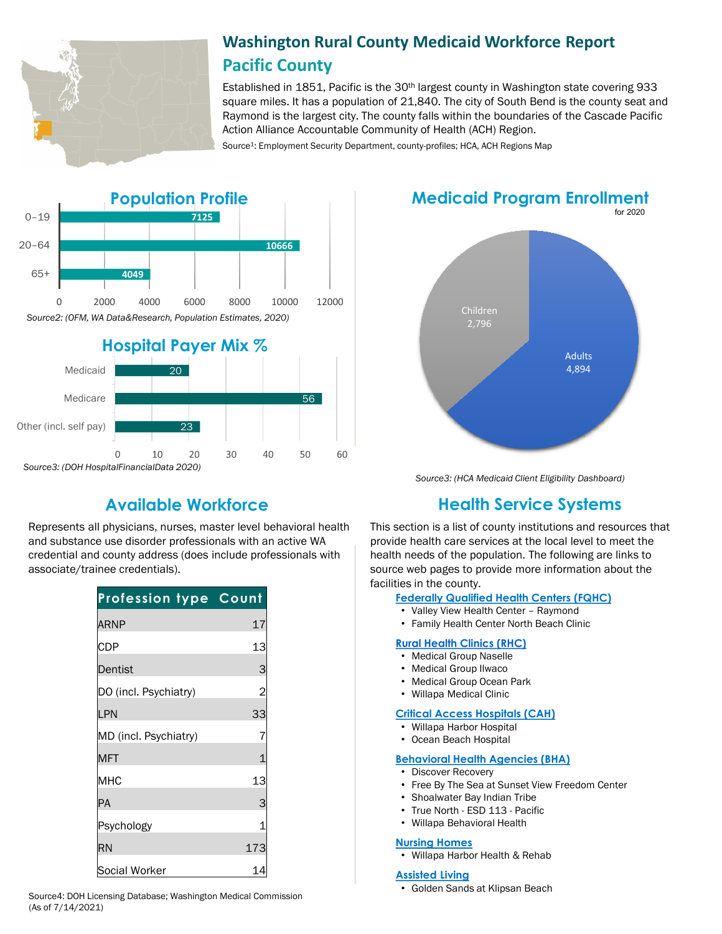

# **Washington Rural County Medicaid Workforce Report Pacific County**

Established in 1851, Pacific is the 30th largest county in Washington state covering 933 square miles. It has a population of 21,840. The city of South Bend is the county seat and Raymond is the largest city. The county falls within the boundaries of the Cascade Pacific Action Alliance Accountable Community of Health (ACH) Region.

Source<sup>1</sup>: Employment Security Department, county-profiles; HCA, ACH Regions Map



Represents all physicians, nurses, master level behavioral health and substance use disorder professionals with an active WA credential and county address (does include professionals with associate/trainee credentials).

| <b>Profession type Count</b> |                |
|------------------------------|----------------|
| <b>ARNP</b>                  | 17             |
| CDP                          | 13             |
| Dentist                      | 3              |
| DO (incl. Psychiatry)        | $\overline{c}$ |
| LPN                          | 33             |
| MD (incl. Psychiatry)        |                |
| <b>MFT</b>                   |                |
| MHC                          | 13             |
| PA                           | З              |
| Psychology                   |                |
| <b>RN</b>                    | 173            |
| Social Worker                |                |

• Golden Sands at Klipsan Beach Source4: DOH Licensing Database; Washington Medical Commission (As of 7/14/2021)

for 2020 **Medicaid Program Enrollment**



*Source3: (HCA Medicaid Client Eligibility Dashboard)*

# **Available Workforce Health Service Systems**

This section is a list of county institutions and resources that provide health care services at the local level to meet the health needs of the population. The following are links to source web pages to provide more information about the facilities in the county.

**[Federally Qualified Health Centers \(FQHC\)](https://www.doh.wa.gov/ForPublicHealthandHealthcareProviders/RuralHealth/PrimaryCareOffice)**

- Valley View Health Center Raymond
- Family Health Center North Beach Clinic

#### **[Rural Health Clinics \(RHC\)](https://www.doh.wa.gov/ForPublicHealthandHealthcareProviders/RuralHealth/RuralHealthSystems)**

- Medical Group Naselle
- Medical Group Ilwaco
- Medical Group Ocean Park
- Willapa Medical Clinic

### **[Critical Access Hospitals \(CAH\)](https://www.doh.wa.gov/ForPublicHealthandHealthcareProviders/RuralHealth/RuralHealthSystems)**

- Willapa Harbor Hospital
- Ocean Beach Hospital

#### **[Behavioral Health Agencies \(BHA\)](https://www.doh.wa.gov/LicensesPermitsandCertificates/ProviderCredentialSearch)**

- Discover Recovery
- Free By The Sea at Sunset View Freedom Center
- Shoalwater Bay Indian Tribe
- True North ESD 113 Pacific
- Willapa Behavioral Health

#### **[Nursing Homes](https://fortress.wa.gov/dshs/adsaapps/lookup/NHPubLookup.aspx)**

• Willapa Harbor Health & Rehab

#### **[Assisted Living](https://fortress.wa.gov/dshs/adsaapps/lookup/BHPubLookup.aspx)**